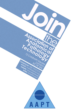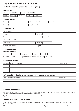# **Application Form for the AAPT**

# **Level of Membership (Please tick as appropiate)**

## **Application Type**

| New    | Re-registration              |  |         | Previous Membership No. |                    |  |           |  |
|--------|------------------------------|--|---------|-------------------------|--------------------|--|-----------|--|
| Fellow | <b>I</b> Member <sub>I</sub> |  | Student |                         | <b>I</b> Affiliate |  | Associate |  |

# **Personal Details**

| Surname <sup>1</sup>         | Title: (Mr / Mrs / Miss / Ms) | <b>IIDate of Birth I</b> |  |
|------------------------------|-------------------------------|--------------------------|--|
| $\blacksquare$ Forname $(s)$ | Any Previous Names            |                          |  |

## **Contact Details**

| Home Address            |                       |
|-------------------------|-----------------------|
| Town / City             | Postcode              |
| Contact email           | Contact Telephone No. |
| Employer Name & Address |                       |
| Town / City             | Postcode              |
| Employer Telephone No.  | $I$ Fax $I$           |

## **Professional Details**

#### **Employment Speciality**

| Paediatric          | Medical | Fiscal / Coroner                           | Forensic | <b>Illocuml</b> |  |
|---------------------|---------|--------------------------------------------|----------|-----------------|--|
| Job Banding / Grade |         | Training Responsibility? (Please Tick) Yes |          |                 |  |

## **Employment History**

| Date From Date To   Employer |  | Job Grade |
|------------------------------|--|-----------|
|                              |  |           |
|                              |  |           |
|                              |  |           |

#### **Professional Qualifications - NB Photocopies must be included with your application**

| Date Awarded Qualification | Awarding Body |
|----------------------------|---------------|
|                            |               |
|                            |               |
|                            |               |

### **Registrant Declaration**

I, the undersigned, apply for membership of the Association of Anatomical Pathology Technology, I will abide by the Code of Conduct and declare that the foregoing statements are correct.

Signature Date Date Date

## **Proposal from current AAPT member**

*(only applicable to Students, Associates and Affiliate applications, those applying for the Fellow or Member grades do not need a proposer)*

Full name and membership number example of the Signature Signature Date Date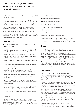# **AAPT: the recognised voice for mortuary staff across the UK and beyond**

The Association of Anatomical Pathology Technology (AAPT) was formed in 2003.

Members of the AAPT are predominantly employed as Anatomical Pathology Technologists (APTs) in both hospital and public mortuaries: but we also welcome Mortuary Assistants, medical staff and other healthcare scientists.

The AAPT is committed to working with the appropriate authorities & organisations to help ensure, and improve, the professional, educational and practical standards for technologists across the United Kingdom and beyond.

Through the development of qualifications and best practice literature, the AAPT can set standards to ensure the dignity of deceased patients and relatives.

# **Code of Conduct**

Members of the AAPT adhere to a professional Code of Conduct. They must:

- • Uphold the dignity and reputation of the Association by applying the highest standards of conduct, honesty and integrity in their personal and professional behaviour
- Exercise their professional practice and skill, within the agreed and known limits of their professional knowledge with judgement and responsibility
- Maintain, develop and keep up to date their professional competence and skills.
- Observe the legal and ethical framework appropriate to their current and future roles
- Recognise the beliefs and values of the wider general public, the users of the service and professional colleagues, treating them on a fair and equitable basis
- Ensure their own beliefs and values do not prejudice or compromise their ability to carry out their professional roles and duties.
- Educate professional peers, colleagues and the wider general public about anatomical pathology technology and its practice
- Promote the study and activity of anatomical pathology by promotion of the values, aims and objectives of the Association of Anatomical Pathology Technology.
- Comply with all relevant health & safety legislation & policy

### **Influence**

The Department of Health has approached the AAPT to comment on every major consultation document relating to death, bereavement, post mortem consent and emergency planning. The AAPT also has strong professional representation links with the:

- Royal College of Pathologists
- Institute of Biomedical Science
- Royal Society for Public Health
- Human Tissue Authority
- Academy for Healthcare Science
- • Science Council
- Home Office
- and many other relevant stakeholders

This two-way communication with national organisations and government departments has given technologists a voice that had previously been unheard in the corridors of power.

### **Events**

The major conference of each year is the Annual Educational Event. This informative meeting provides a stimulating lecture programme with renowned speakers. It also allows the opportunity to socialise with other delegates and network with commercial partners. One day practical workshops on the taking of consent have been held in liaison with the Human Tissue Authority, the AAPT are also happy to bring such training locally into your workplace.

A growing regional network across the UK is allowing technologists to share knowledge at a local level. Groups have already been formed in London & the South East, the South West and Scotland.

## **CPD & Website**

The AAPT website is an excellent resource tool for technologists, healthcare science colleagues and for those wishing to pursue a career as an APT. There is also a Facebook group for members only and a Twitter feed @ AAPTTweets

A Learning Zone area features on-line Read, Test & Reflect (RTR), whereby members can test their knowledge on the most up-to-date articles and guideline documents relating to anatomical pathology technology.

It is the personal duty of any professional to keep their knowledge and skills up to date so that they remain competent to practise. The AAPT CPD scheme encourages APT staff to maintain, improve and extend their knowledge, skills and practice.

The Members Area includes an on-line CPD recording portfolio, with the ability to reflect upon each and every activity undertaken.

The scheme is free to all members of the Association regardless of grade. For members who achieve a high standard of CPD activity, a special Award Certificate will be presented.